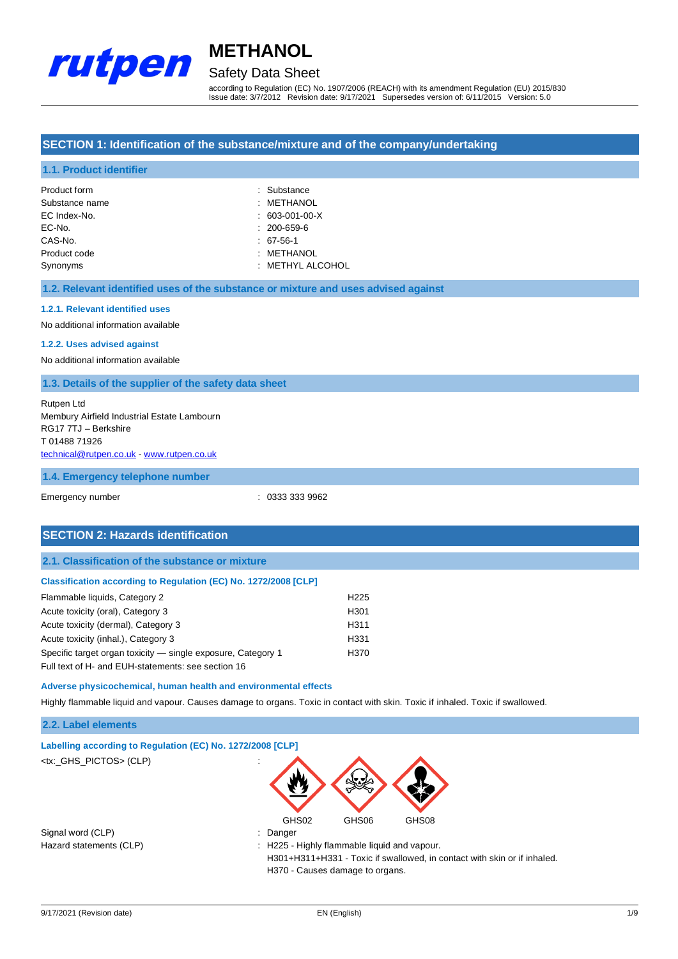

## Safety Data Sheet

according to Regulation (EC) No. 1907/2006 (REACH) with its amendment Regulation (EU) 2015/830 Issue date: 3/7/2012 Revision date: 9/17/2021 Supersedes version of: 6/11/2015 Version: 5.0

#### **SECTION 1: Identification of the substance/mixture and of the company/undertaking**

#### **1.1. Product identifier**

| Product form   | : Substance       |
|----------------|-------------------|
| Substance name | : METHANOL        |
| EC Index-No.   | $: 603-001-00-X$  |
| EC-No.         | $: 200 - 659 - 6$ |
| CAS-No.        | $: 67-56-1$       |
| Product code   | : METHANOL        |
| Synonyms       | : METHYL ALCOHOL  |

#### **1.2. Relevant identified uses of the substance or mixture and uses advised against**

#### **1.2.1. Relevant identified uses**

No additional information available

#### **1.2.2. Uses advised against**

No additional information available

#### **1.3. Details of the supplier of the safety data sheet**

Rutpen Ltd Membury Airfield Industrial Estate Lambourn RG17 7TJ – Berkshire T 01488 71926 [technical@rutpen.co.uk](mailto:technical@rutpen.co.uk) - [www.rutpen.co.uk](http://www.rutpen.co.uk/)

#### **1.4. Emergency telephone number**

Emergency number : 0333 333 9962

### **SECTION 2: Hazards identification**

#### **2.1. Classification of the substance or mixture**

#### **Classification according to Regulation (EC) No. 1272/2008 [CLP]**

| Flammable liquids, Category 2                                | H <sub>225</sub> |
|--------------------------------------------------------------|------------------|
| Acute toxicity (oral), Category 3                            | H301             |
| Acute toxicity (dermal), Category 3                          | H311             |
| Acute toxicity (inhal.), Category 3                          | H331             |
| Specific target organ toxicity – single exposure, Category 1 | H370             |
| Full text of H- and EUH-statements: see section 16           |                  |

#### **Adverse physicochemical, human health and environmental effects**

Highly flammable liquid and vapour. Causes damage to organs. Toxic in contact with skin. Toxic if inhaled. Toxic if swallowed.

#### **2.2. Label elements**

| Labelling according to Regulation (EC) No. 1272/2008 [CLP] |                                                                                                             |
|------------------------------------------------------------|-------------------------------------------------------------------------------------------------------------|
| <tx:_ghs_pictos>(CLP)</tx:_ghs_pictos>                     |                                                                                                             |
|                                                            | GHS02<br>GHS06<br>GHS08                                                                                     |
| Signal word (CLP)                                          | Danger<br>÷                                                                                                 |
| Hazard statements (CLP)                                    | H225 - Highly flammable liquid and vapour.                                                                  |
|                                                            | H301+H311+H331 - Toxic if swallowed, in contact with skin or if inhaled.<br>H370 - Causes damage to organs. |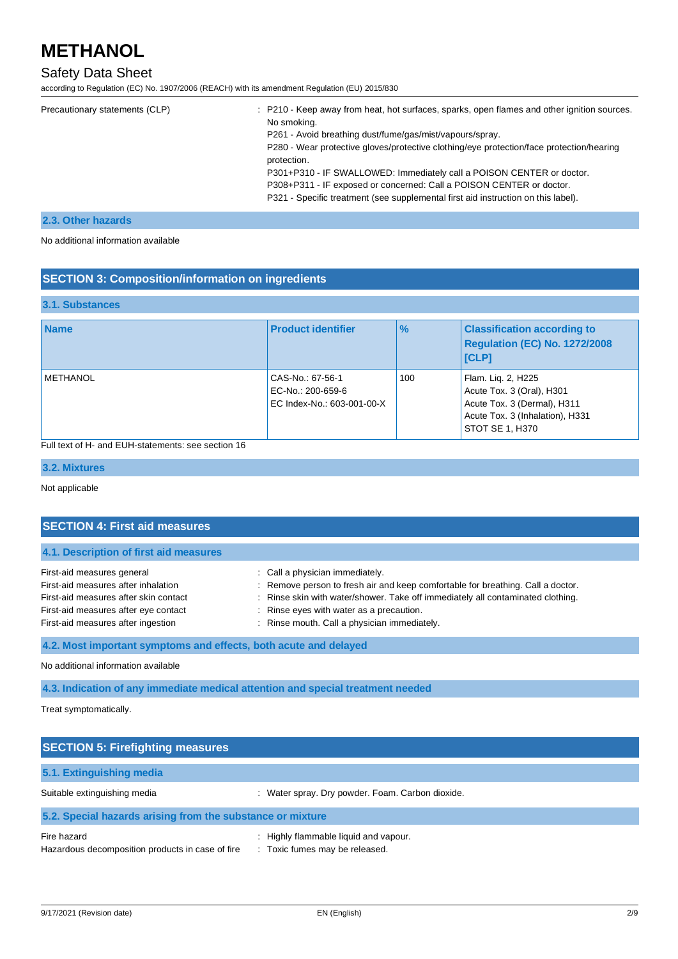## Safety Data Sheet

according to Regulation (EC) No. 1907/2006 (REACH) with its amendment Regulation (EU) 2015/830

| Precautionary statements (CLP) | : P210 - Keep away from heat, hot surfaces, sparks, open flames and other ignition sources.<br>No smoking.<br>P261 - Avoid breathing dust/fume/gas/mist/vapours/spray.<br>P280 - Wear protective gloves/protective clothing/eye protection/face protection/hearing<br>protection.<br>P301+P310 - IF SWALLOWED: Immediately call a POISON CENTER or doctor.<br>P308+P311 - IF exposed or concerned: Call a POISON CENTER or doctor.<br>P321 - Specific treatment (see supplemental first aid instruction on this label). |
|--------------------------------|-------------------------------------------------------------------------------------------------------------------------------------------------------------------------------------------------------------------------------------------------------------------------------------------------------------------------------------------------------------------------------------------------------------------------------------------------------------------------------------------------------------------------|
|                                |                                                                                                                                                                                                                                                                                                                                                                                                                                                                                                                         |

#### **2.3. Other hazards**

No additional information available

#### **SECTION 3: Composition/information on ingredients**

#### **3.1. Substances**

| <b>Name</b>     | <b>Product identifier</b>                                           | $\frac{9}{6}$ | <b>Classification according to</b><br><b>Regulation (EC) No. 1272/2008</b><br>[CLP]                                                  |
|-----------------|---------------------------------------------------------------------|---------------|--------------------------------------------------------------------------------------------------------------------------------------|
| <b>METHANOL</b> | CAS-No.: 67-56-1<br>EC-No.: 200-659-6<br>EC Index-No.: 603-001-00-X | 100           | Flam. Lig. 2, H225<br>Acute Tox. 3 (Oral), H301<br>Acute Tox. 3 (Dermal), H311<br>Acute Tox. 3 (Inhalation), H331<br>STOT SE 1, H370 |

### Full text of H- and EUH-statements: see section 16

#### **3.2. Mixtures**

Not applicable

| <b>SECTION 4: First aid measures</b>                             |                                                                                 |  |
|------------------------------------------------------------------|---------------------------------------------------------------------------------|--|
| 4.1. Description of first aid measures                           |                                                                                 |  |
| First-aid measures general                                       | : Call a physician immediately.                                                 |  |
| First-aid measures after inhalation                              | : Remove person to fresh air and keep comfortable for breathing. Call a doctor. |  |
| First-aid measures after skin contact                            | : Rinse skin with water/shower. Take off immediately all contaminated clothing. |  |
| First-aid measures after eye contact                             | : Rinse eyes with water as a precaution.                                        |  |
| First-aid measures after ingestion                               | : Rinse mouth. Call a physician immediately.                                    |  |
| 4.2. Most important symptoms and effects, both acute and delayed |                                                                                 |  |

#### No additional information available

**4.3. Indication of any immediate medical attention and special treatment needed**

Treat symptomatically.

| <b>SECTION 5: Firefighting measures</b>                         |                                                                       |  |  |
|-----------------------------------------------------------------|-----------------------------------------------------------------------|--|--|
| 5.1. Extinguishing media                                        |                                                                       |  |  |
| Suitable extinguishing media                                    | : Water spray. Dry powder. Foam. Carbon dioxide.                      |  |  |
| 5.2. Special hazards arising from the substance or mixture      |                                                                       |  |  |
| Fire hazard<br>Hazardous decomposition products in case of fire | Highly flammable liquid and vapour.<br>: Toxic fumes may be released. |  |  |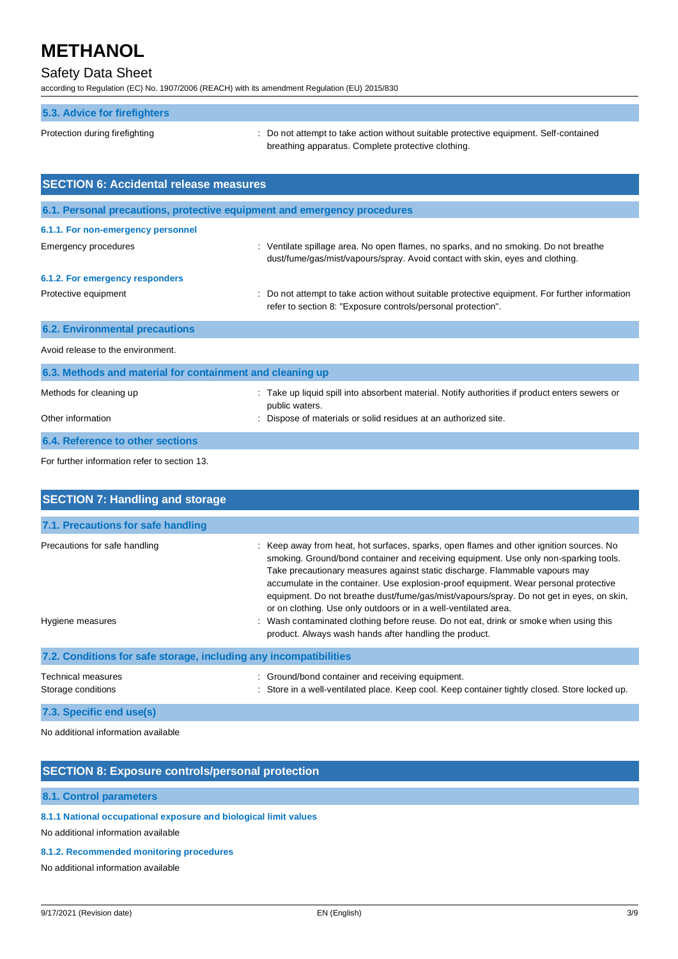## Safety Data Sheet

according to Regulation (EC) No. 1907/2006 (REACH) with its amendment Regulation (EU) 2015/830

| 5.3. Advice for firefighters                              |                                                                                                                                                                       |
|-----------------------------------------------------------|-----------------------------------------------------------------------------------------------------------------------------------------------------------------------|
| Protection during firefighting                            | Do not attempt to take action without suitable protective equipment. Self-contained<br>breathing apparatus. Complete protective clothing.                             |
| <b>SECTION 6: Accidental release measures</b>             |                                                                                                                                                                       |
|                                                           | 6.1. Personal precautions, protective equipment and emergency procedures                                                                                              |
| 6.1.1. For non-emergency personnel                        |                                                                                                                                                                       |
| Emergency procedures                                      | : Ventilate spillage area. No open flames, no sparks, and no smoking. Do not breathe<br>dust/fume/gas/mist/vapours/spray. Avoid contact with skin, eyes and clothing. |
| 6.1.2. For emergency responders                           |                                                                                                                                                                       |
| Protective equipment                                      | : Do not attempt to take action without suitable protective equipment. For further information<br>refer to section 8: "Exposure controls/personal protection".        |
| <b>6.2. Environmental precautions</b>                     |                                                                                                                                                                       |
| Avoid release to the environment.                         |                                                                                                                                                                       |
| 6.3. Methods and material for containment and cleaning up |                                                                                                                                                                       |
| Methods for cleaning up                                   | : Take up liquid spill into absorbent material. Notify authorities if product enters sewers or<br>public waters.                                                      |
| Other information                                         | : Dispose of materials or solid residues at an authorized site.                                                                                                       |
| 6.4. Reference to other sections                          |                                                                                                                                                                       |
|                                                           |                                                                                                                                                                       |

For further information refer to section 13.

| <b>SECTION 7: Handling and storage</b>                            |                                                                                                                                                                                                                                                                                                                                                                                                                                                                                                                                                                                                                                                                      |  |  |  |
|-------------------------------------------------------------------|----------------------------------------------------------------------------------------------------------------------------------------------------------------------------------------------------------------------------------------------------------------------------------------------------------------------------------------------------------------------------------------------------------------------------------------------------------------------------------------------------------------------------------------------------------------------------------------------------------------------------------------------------------------------|--|--|--|
| 7.1. Precautions for safe handling                                |                                                                                                                                                                                                                                                                                                                                                                                                                                                                                                                                                                                                                                                                      |  |  |  |
| Precautions for safe handling<br>Hygiene measures                 | Keep away from heat, hot surfaces, sparks, open flames and other ignition sources. No<br>smoking. Ground/bond container and receiving equipment. Use only non-sparking tools.<br>Take precautionary measures against static discharge. Flammable vapours may<br>accumulate in the container. Use explosion-proof equipment. Wear personal protective<br>equipment. Do not breathe dust/fume/gas/mist/vapours/spray. Do not get in eyes, on skin,<br>or on clothing. Use only outdoors or in a well-ventilated area.<br>Wash contaminated clothing before reuse. Do not eat, drink or smoke when using this<br>product. Always wash hands after handling the product. |  |  |  |
| 7.2. Conditions for safe storage, including any incompatibilities |                                                                                                                                                                                                                                                                                                                                                                                                                                                                                                                                                                                                                                                                      |  |  |  |
| <b>Technical measures</b><br>Storage conditions                   | : Ground/bond container and receiving equipment.<br>Store in a well-ventilated place. Keep cool. Keep container tightly closed. Store locked up.                                                                                                                                                                                                                                                                                                                                                                                                                                                                                                                     |  |  |  |
| 7.3. Specific end use(s)                                          |                                                                                                                                                                                                                                                                                                                                                                                                                                                                                                                                                                                                                                                                      |  |  |  |

No additional information available

### **SECTION 8: Exposure controls/personal protection**

#### **8.1. Control parameters**

### **8.1.1 National occupational exposure and biological limit values**

No additional information available

#### **8.1.2. Recommended monitoring procedures**

No additional information available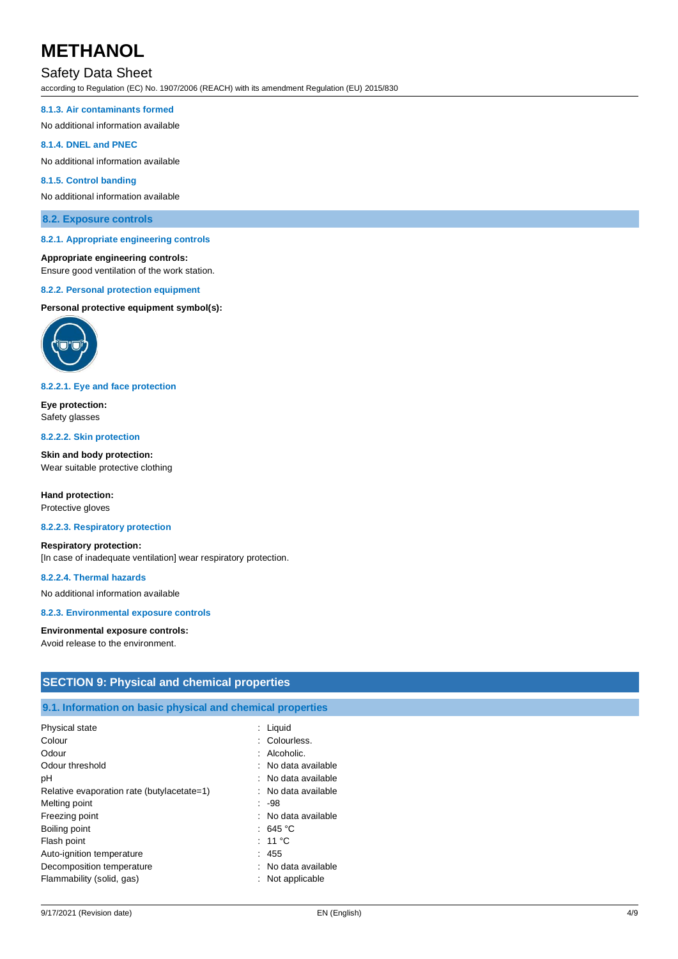## Safety Data Sheet

according to Regulation (EC) No. 1907/2006 (REACH) with its amendment Regulation (EU) 2015/830

#### **8.1.3. Air contaminants formed**

No additional information available

### **8.1.4. DNEL and PNEC**

No additional information available

### **8.1.5. Control banding**

No additional information available

#### **8.2. Exposure controls**

#### **8.2.1. Appropriate engineering controls**

#### **Appropriate engineering controls:**

Ensure good ventilation of the work station.

#### **8.2.2. Personal protection equipment**

#### **Personal protective equipment symbol(s):**



#### **8.2.2.1. Eye and face protection**

**Eye protection:** Safety glasses

#### **8.2.2.2. Skin protection**

**Skin and body protection:** Wear suitable protective clothing

**Hand protection:** Protective gloves

## **8.2.2.3. Respiratory protection**

#### **Respiratory protection:**

[In case of inadequate ventilation] wear respiratory protection.

#### **8.2.2.4. Thermal hazards**

No additional information available

**8.2.3. Environmental exposure controls**

#### **Environmental exposure controls:**

Avoid release to the environment.

# **SECTION 9: Physical and chemical properties 9.1. Information on basic physical and chemical properties**

| Physical state                             | Liquid              |
|--------------------------------------------|---------------------|
| Colour                                     | : Colourless.       |
| Odour                                      | $:$ Alcoholic.      |
| Odour threshold                            | : No data available |
| рH                                         | : No data available |
| Relative evaporation rate (butylacetate=1) | : No data available |
| Melting point                              | : -98               |
| Freezing point                             | : No data available |
| Boiling point                              | : 645 °C            |
| Flash point                                | : 11 °C             |
| Auto-ignition temperature                  | 455                 |
| Decomposition temperature                  | : No data available |
| Flammability (solid, gas)                  | Not applicable      |
|                                            |                     |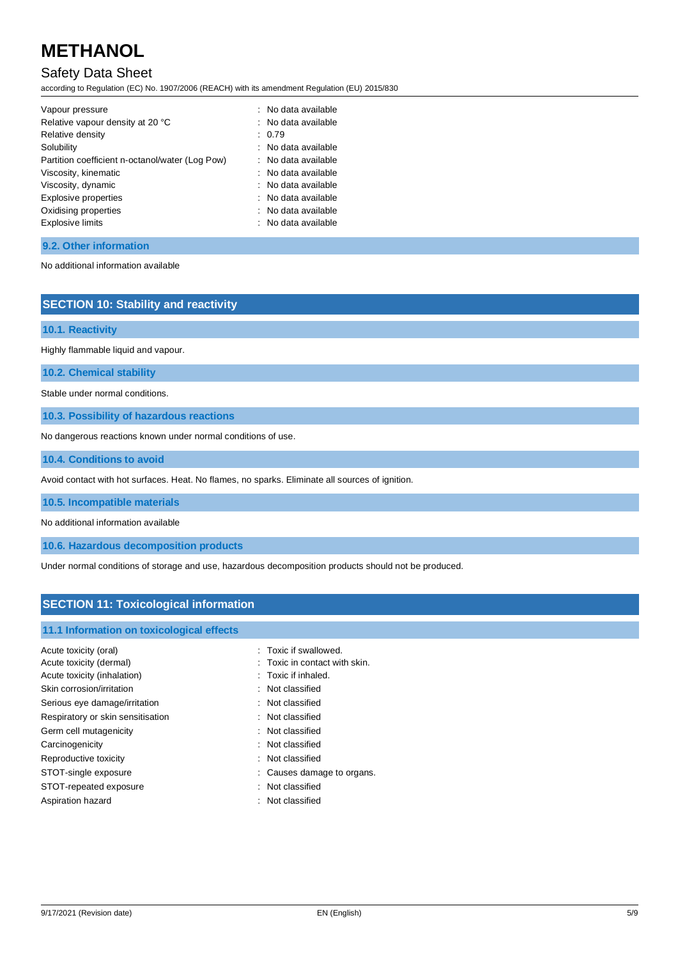## Safety Data Sheet

according to Regulation (EC) No. 1907/2006 (REACH) with its amendment Regulation (EU) 2015/830

| Vapour pressure                                 | : No data available |
|-------------------------------------------------|---------------------|
| Relative vapour density at 20 °C                | : No data available |
| Relative density                                | : 0.79              |
| Solubility                                      | : No data available |
| Partition coefficient n-octanol/water (Log Pow) | : No data available |
| Viscosity, kinematic                            | : No data available |
| Viscosity, dynamic                              | : No data available |
| <b>Explosive properties</b>                     | : No data available |
| Oxidising properties                            | : No data available |
| <b>Explosive limits</b>                         | : No data available |

#### **9.2. Other information**

No additional information available

#### **SECTION 10: Stability and reactivity**

**10.1. Reactivity**

Highly flammable liquid and vapour.

**10.2. Chemical stability**

Stable under normal conditions.

**10.3. Possibility of hazardous reactions**

No dangerous reactions known under normal conditions of use.

**10.4. Conditions to avoid**

Avoid contact with hot surfaces. Heat. No flames, no sparks. Eliminate all sources of ignition.

**10.5. Incompatible materials**

No additional information available

**10.6. Hazardous decomposition products**

Under normal conditions of storage and use, hazardous decomposition products should not be produced.

### **SECTION 11: Toxicological information**

#### **11.1 Information on toxicological effects**

| Acute toxicity (oral)             | : Toxic if swallowed.                    |
|-----------------------------------|------------------------------------------|
| Acute toxicity (dermal)           | $\therefore$ Toxic in contact with skin. |
| Acute toxicity (inhalation)       | : Toxic if inhaled.                      |
| Skin corrosion/irritation         | Not classified                           |
| Serious eye damage/irritation     | : Not classified                         |
| Respiratory or skin sensitisation | : Not classified                         |
| Germ cell mutagenicity            | : Not classified                         |
| Carcinogenicity                   | : Not classified                         |
| Reproductive toxicity             | : Not classified                         |
| STOT-single exposure              | : Causes damage to organs.               |
| STOT-repeated exposure            | : Not classified                         |
| Aspiration hazard                 | Not classified                           |
|                                   |                                          |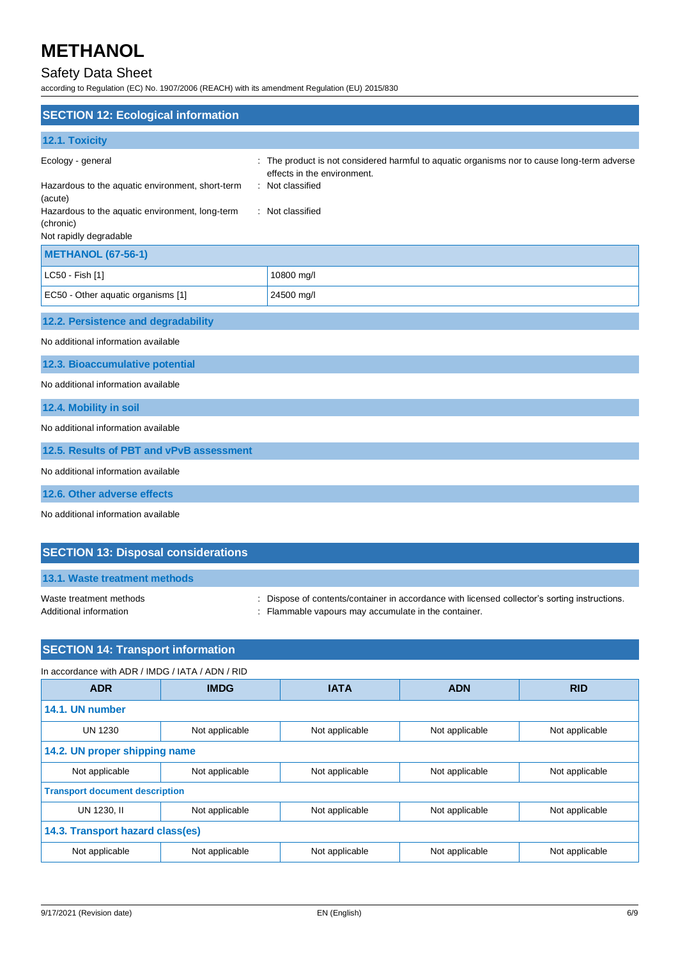## Safety Data Sheet

according to Regulation (EC) No. 1907/2006 (REACH) with its amendment Regulation (EU) 2015/830

| <b>SECTION 12: Ecological information</b>                                                                                                                                  |                                                                                                                                                                  |  |  |
|----------------------------------------------------------------------------------------------------------------------------------------------------------------------------|------------------------------------------------------------------------------------------------------------------------------------------------------------------|--|--|
| 12.1. Toxicity                                                                                                                                                             |                                                                                                                                                                  |  |  |
| Ecology - general<br>Hazardous to the aquatic environment, short-term<br>(acute)<br>Hazardous to the aquatic environment, long-term<br>(chronic)<br>Not rapidly degradable | : The product is not considered harmful to aquatic organisms nor to cause long-term adverse<br>effects in the environment.<br>Not classified<br>: Not classified |  |  |
| <b>METHANOL (67-56-1)</b>                                                                                                                                                  |                                                                                                                                                                  |  |  |
| LC50 - Fish [1]                                                                                                                                                            | 10800 mg/l                                                                                                                                                       |  |  |
| EC50 - Other aquatic organisms [1]                                                                                                                                         | 24500 mg/l                                                                                                                                                       |  |  |
| 12.2. Persistence and degradability                                                                                                                                        |                                                                                                                                                                  |  |  |
| No additional information available                                                                                                                                        |                                                                                                                                                                  |  |  |
| 12.3. Bioaccumulative potential                                                                                                                                            |                                                                                                                                                                  |  |  |
| No additional information available                                                                                                                                        |                                                                                                                                                                  |  |  |
| 12.4. Mobility in soil                                                                                                                                                     |                                                                                                                                                                  |  |  |
| No additional information available                                                                                                                                        |                                                                                                                                                                  |  |  |
| 12.5. Results of PBT and vPvB assessment                                                                                                                                   |                                                                                                                                                                  |  |  |
| No additional information available                                                                                                                                        |                                                                                                                                                                  |  |  |
| 12.6. Other adverse effects                                                                                                                                                |                                                                                                                                                                  |  |  |
| No additional information available                                                                                                                                        |                                                                                                                                                                  |  |  |

### **SECTION 13: Disposal considerations**

| 13.1. Waste treatment methods |
|-------------------------------|
|                               |

Waste treatment methods : Dispose of contents/container in accordance with licensed collector's sorting instructions. Additional information **interest in the container** : Flammable vapours may accumulate in the container.

### **SECTION 14: Transport information**

In accordance with ADR / IMDG / IATA / ADN / RID

| <b>ADR</b>                            | <b>IMDG</b>    | <b>IATA</b>    | <b>ADN</b>     | <b>RID</b>     |
|---------------------------------------|----------------|----------------|----------------|----------------|
| 14.1. UN number                       |                |                |                |                |
| <b>UN 1230</b>                        | Not applicable | Not applicable | Not applicable | Not applicable |
| 14.2. UN proper shipping name         |                |                |                |                |
| Not applicable                        | Not applicable | Not applicable | Not applicable | Not applicable |
| <b>Transport document description</b> |                |                |                |                |
| UN 1230. II                           | Not applicable | Not applicable | Not applicable | Not applicable |
| 14.3. Transport hazard class(es)      |                |                |                |                |
| Not applicable                        | Not applicable | Not applicable | Not applicable | Not applicable |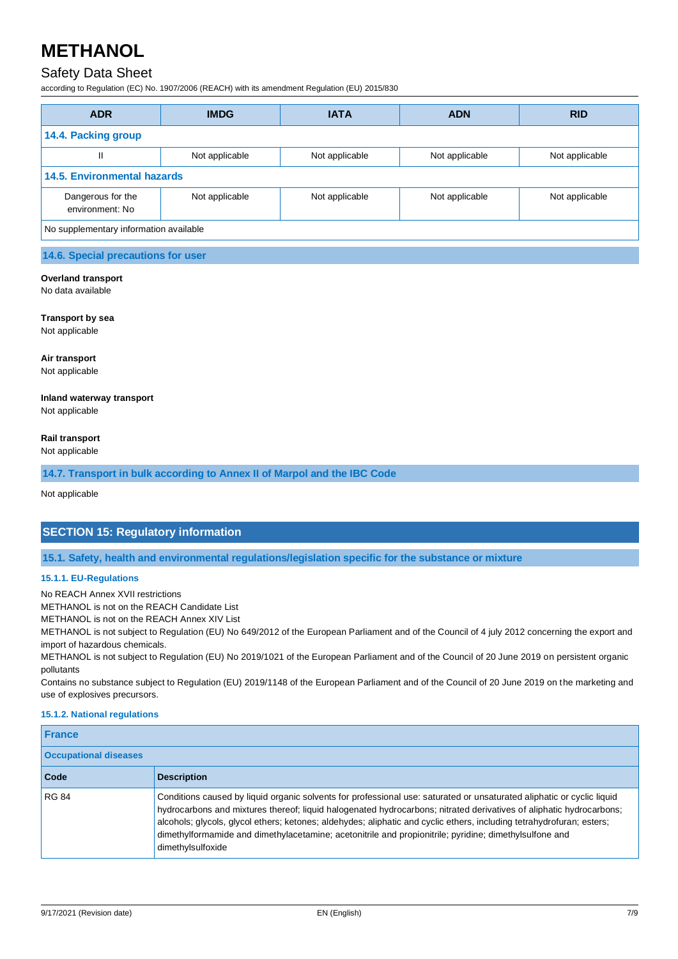## Safety Data Sheet

according to Regulation (EC) No. 1907/2006 (REACH) with its amendment Regulation (EU) 2015/830

| <b>ADR</b>                             | <b>IMDG</b>    | <b>IATA</b>    | <b>ADN</b>     | <b>RID</b>     |  |
|----------------------------------------|----------------|----------------|----------------|----------------|--|
| 14.4. Packing group                    |                |                |                |                |  |
| Ш                                      | Not applicable | Not applicable | Not applicable | Not applicable |  |
| <b>14.5. Environmental hazards</b>     |                |                |                |                |  |
| Dangerous for the<br>environment: No   | Not applicable | Not applicable | Not applicable | Not applicable |  |
| No supplementary information available |                |                |                |                |  |

**14.6. Special precautions for user**

## **Overland transport**

No data available

**Transport by sea** Not applicable

**Air transport**

Not applicable

#### **Inland waterway transport** Not applicable

**Rail transport** Not applicable

**14.7. Transport in bulk according to Annex II of Marpol and the IBC Code**

Not applicable

### **SECTION 15: Regulatory information**

**15.1. Safety, health and environmental regulations/legislation specific for the substance or mixture**

#### **15.1.1. EU-Regulations**

No REACH Annex XVII restrictions

METHANOL is not on the REACH Candidate List

METHANOL is not on the REACH Annex XIV List

METHANOL is not subject to Regulation (EU) No 649/2012 of the European Parliament and of the Council of 4 july 2012 concerning the export and import of hazardous chemicals.

METHANOL is not subject to Regulation (EU) No 2019/1021 of the European Parliament and of the Council of 20 June 2019 on persistent organic pollutants

Contains no substance subject to Regulation (EU) 2019/1148 of the European Parliament and of the Council of 20 June 2019 on the marketing and use of explosives precursors.

#### **15.1.2. National regulations**

#### **France**

**Occupational diseases**

| Code         | <b>Description</b>                                                                                                                                                                                                                                                                                                                                                                                                                                                                                    |
|--------------|-------------------------------------------------------------------------------------------------------------------------------------------------------------------------------------------------------------------------------------------------------------------------------------------------------------------------------------------------------------------------------------------------------------------------------------------------------------------------------------------------------|
| <b>RG 84</b> | Conditions caused by liquid organic solvents for professional use: saturated or unsaturated aliphatic or cyclic liquid<br>hydrocarbons and mixtures thereof; liquid halogenated hydrocarbons; nitrated derivatives of aliphatic hydrocarbons;<br>alcohols; glycols, glycol ethers; ketones; aldehydes; aliphatic and cyclic ethers, including tetrahydrofuran; esters;<br>dimethylformamide and dimethylacetamine; acetonitrile and propionitrile; pyridine; dimethylsulfone and<br>dimethylsulfoxide |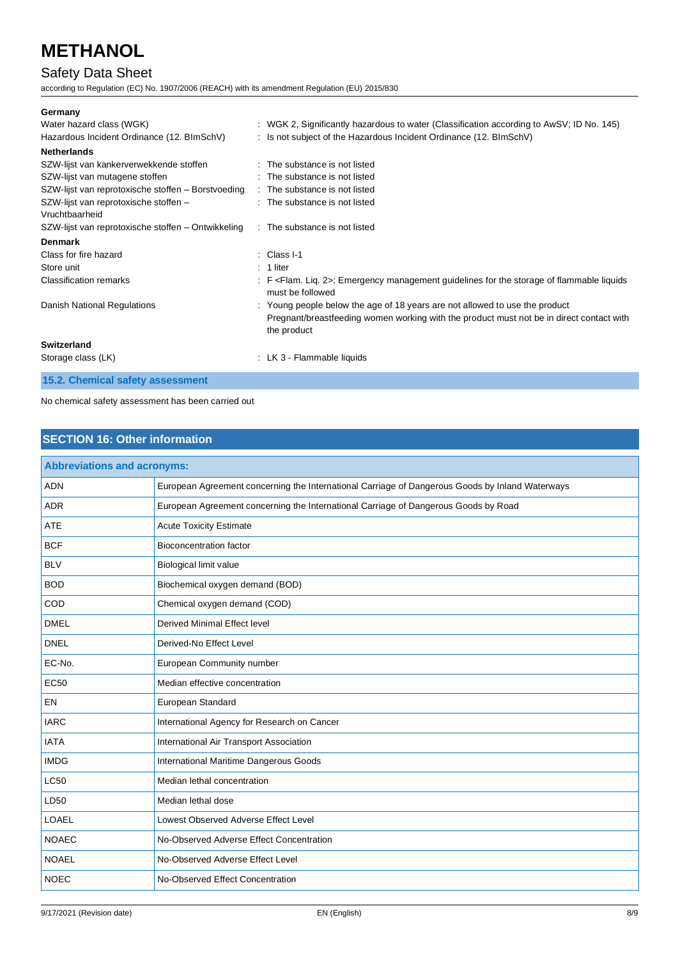## Safety Data Sheet

according to Regulation (EC) No. 1907/2006 (REACH) with its amendment Regulation (EU) 2015/830

#### **Germany**

| Water hazard class (WGK)                           | : WGK 2, Significantly hazardous to water (Classification according to AwSV; ID No. 145)                                                                                               |
|----------------------------------------------------|----------------------------------------------------------------------------------------------------------------------------------------------------------------------------------------|
| Hazardous Incident Ordinance (12. BImSchV)         | : Is not subject of the Hazardous Incident Ordinance (12. BImSchV)                                                                                                                     |
| <b>Netherlands</b>                                 |                                                                                                                                                                                        |
| SZW-lijst van kankerverwekkende stoffen            | : The substance is not listed                                                                                                                                                          |
| SZW-lijst van mutagene stoffen                     | : The substance is not listed                                                                                                                                                          |
| SZW-lijst van reprotoxische stoffen - Borstvoeding | : The substance is not listed                                                                                                                                                          |
| SZW-lijst van reprotoxische stoffen -              | : The substance is not listed                                                                                                                                                          |
| Vruchtbaarheid                                     |                                                                                                                                                                                        |
| SZW-lijst van reprotoxische stoffen – Ontwikkeling | : The substance is not listed                                                                                                                                                          |
| <b>Denmark</b>                                     |                                                                                                                                                                                        |
| Class for fire hazard                              | $\therefore$ Class I-1                                                                                                                                                                 |
| Store unit                                         | $: 1$ liter                                                                                                                                                                            |
| <b>Classification remarks</b>                      | : F <flam. 2="" lig.="">; Emergency management guidelines for the storage of flammable liquids<br/>must be followed</flam.>                                                            |
| Danish National Regulations                        | : Young people below the age of 18 years are not allowed to use the product<br>Pregnant/breastfeeding women working with the product must not be in direct contact with<br>the product |
| <b>Switzerland</b>                                 |                                                                                                                                                                                        |
| Storage class (LK)                                 | : LK 3 - Flammable liquids                                                                                                                                                             |
| 15.2. Chemical safety assessment                   |                                                                                                                                                                                        |

No chemical safety assessment has been carried out

### **SECTION 16: Other information**

| <b>Abbreviations and acronyms:</b> |                                                                                                 |  |  |
|------------------------------------|-------------------------------------------------------------------------------------------------|--|--|
| <b>ADN</b>                         | European Agreement concerning the International Carriage of Dangerous Goods by Inland Waterways |  |  |
| <b>ADR</b>                         | European Agreement concerning the International Carriage of Dangerous Goods by Road             |  |  |
| <b>ATE</b>                         | <b>Acute Toxicity Estimate</b>                                                                  |  |  |
| <b>BCF</b>                         | <b>Bioconcentration factor</b>                                                                  |  |  |
| <b>BLV</b>                         | Biological limit value                                                                          |  |  |
| <b>BOD</b>                         | Biochemical oxygen demand (BOD)                                                                 |  |  |
| COD                                | Chemical oxygen demand (COD)                                                                    |  |  |
| <b>DMEL</b>                        | <b>Derived Minimal Effect level</b>                                                             |  |  |
| <b>DNEL</b>                        | Derived-No Effect Level                                                                         |  |  |
| EC-No.                             | European Community number                                                                       |  |  |
| <b>EC50</b>                        | Median effective concentration                                                                  |  |  |
| EN                                 | European Standard                                                                               |  |  |
| <b>IARC</b>                        | International Agency for Research on Cancer                                                     |  |  |
| <b>IATA</b>                        | International Air Transport Association                                                         |  |  |
| <b>IMDG</b>                        | International Maritime Dangerous Goods                                                          |  |  |
| <b>LC50</b>                        | Median lethal concentration                                                                     |  |  |
| LD50                               | Median lethal dose                                                                              |  |  |
| <b>LOAEL</b>                       | Lowest Observed Adverse Effect Level                                                            |  |  |
| <b>NOAEC</b>                       | No-Observed Adverse Effect Concentration                                                        |  |  |
| <b>NOAEL</b>                       | No-Observed Adverse Effect Level                                                                |  |  |
| <b>NOEC</b>                        | No-Observed Effect Concentration                                                                |  |  |